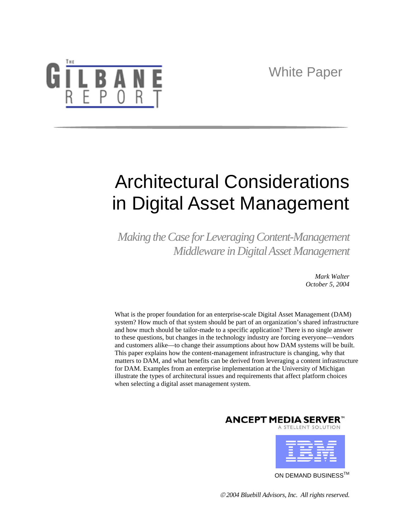

# Architectural Considerations in Digital Asset Management

*Making the Case for Leveraging Content-Management Middleware in Digital Asset Management* 

> *Mark Walter October 5, 2004*

What is the proper foundation for an enterprise-scale Digital Asset Management (DAM) system? How much of that system should be part of an organization's shared infrastructure and how much should be tailor-made to a specific application? There is no single answer to these questions, but changes in the technology industry are forcing everyone—vendors and customers alike—to change their assumptions about how DAM systems will be built. This paper explains how the content-management infrastructure is changing, why that matters to DAM, and what benefits can be derived from leveraging a content infrastructure for DAM. Examples from an enterprise implementation at the University of Michigan illustrate the types of architectural issues and requirements that affect platform choices when selecting a digital asset management system.





ON DEMAND BUSINESS<sup>™</sup>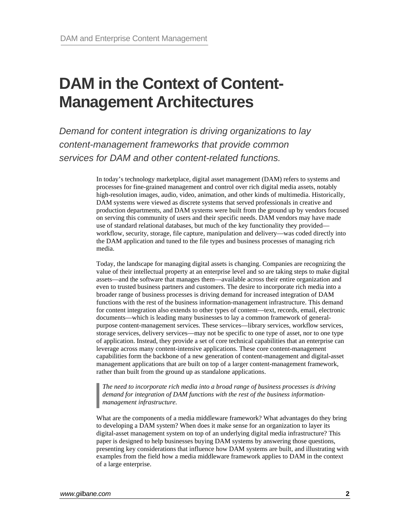## **DAM in the Context of Content-Management Architectures**

*Demand for content integration is driving organizations to lay content-management frameworks that provide common services for DAM and other content-related functions.* 

> In today's technology marketplace, digital asset management (DAM) refers to systems and processes for fine-grained management and control over rich digital media assets, notably high-resolution images, audio, video, animation, and other kinds of multimedia. Historically, DAM systems were viewed as discrete systems that served professionals in creative and production departments, and DAM systems were built from the ground up by vendors focused on serving this community of users and their specific needs. DAM vendors may have made use of standard relational databases, but much of the key functionality they provided workflow, security, storage, file capture, manipulation and delivery—was coded directly into the DAM application and tuned to the file types and business processes of managing rich media.

> Today, the landscape for managing digital assets is changing. Companies are recognizing the value of their intellectual property at an enterprise level and so are taking steps to make digital assets—and the software that manages them—available across their entire organization and even to trusted business partners and customers. The desire to incorporate rich media into a broader range of business processes is driving demand for increased integration of DAM functions with the rest of the business information-management infrastructure. This demand for content integration also extends to other types of content—text, records, email, electronic documents—which is leading many businesses to lay a common framework of generalpurpose content-management services. These services—library services, workflow services, storage services, delivery services—may not be specific to one type of asset, nor to one type of application. Instead, they provide a set of core technical capabilities that an enterprise can leverage across many content-intensive applications. These core content-management capabilities form the backbone of a new generation of content-management and digital-asset management applications that are built on top of a larger content-management framework, rather than built from the ground up as standalone applications.

*The need to incorporate rich media into a broad range of business processes is driving demand for integration of DAM functions with the rest of the business informationmanagement infrastructure.* 

What are the components of a media middleware framework? What advantages do they bring to developing a DAM system? When does it make sense for an organization to layer its digital-asset management system on top of an underlying digital media infrastructure? This paper is designed to help businesses buying DAM systems by answering those questions, presenting key considerations that influence how DAM systems are built, and illustrating with examples from the field how a media middleware framework applies to DAM in the context of a large enterprise.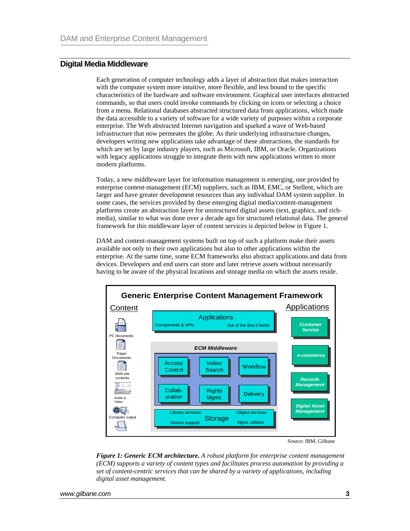## **Digital Media Middleware**

Each generation of computer technology adds a layer of abstraction that makes interaction with the computer system more intuitive, more flexible, and less bound to the specific characteristics of the hardware and software environment. Graphical user interfaces abstracted commands, so that users could invoke commands by clicking on icons or selecting a choice from a menu. Relational databases abstracted structured data from applications, which made the data accessible to a variety of software for a wide variety of purposes within a corporate enterprise. The Web abstracted Internet navigation and sparked a wave of Web-based infrastructure that now permeates the globe. As their underlying infrastructure changes, developers writing new applications take advantage of these abstractions, the standards for which are set by large industry players, such as Microsoft, IBM, or Oracle. Organizations with legacy applications struggle to integrate them with new applications written to more modern platforms.

Today, a new middleware layer for information management is emerging, one provided by enterprise content-management (ECM) suppliers, such as IBM, EMC, or Stellent, which are larger and have greater development resources than any individual DAM system supplier. In some cases, the services provided by these emerging digital media/content-management platforms create an abstraction layer for unstructured digital assets (text, graphics, and richmedia), similar to what was done over a decade ago for structured relational data. The general framework for this middleware layer of content services is depicted below in Figure 1.

DAM and content-management systems built on top of such a platform make their assets available not only to their own applications but also to other applications within the enterprise. At the same time, some ECM frameworks also abstract applications and data from devices. Developers and end users can store and later retrieve assets without necessarily having to be aware of the physical locations and storage media on which the assets reside.



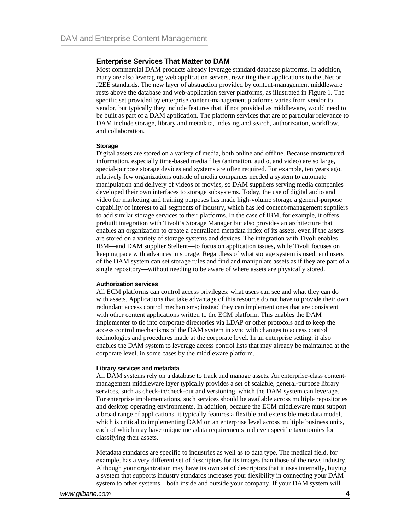### **Enterprise Services That Matter to DAM**

Most commercial DAM products already leverage standard database platforms. In addition, many are also leveraging web application servers, rewriting their applications to the .Net or J2EE standards. The new layer of abstraction provided by content-management middleware rests above the database and web-application server platforms, as illustrated in Figure 1. The specific set provided by enterprise content-management platforms varies from vendor to vendor, but typically they include features that, if not provided as middleware, would need to be built as part of a DAM application. The platform services that are of particular relevance to DAM include storage, library and metadata, indexing and search, authorization, workflow, and collaboration.

### **Storage**

Digital assets are stored on a variety of media, both online and offline. Because unstructured information, especially time-based media files (animation, audio, and video) are so large, special-purpose storage devices and systems are often required. For example, ten years ago, relatively few organizations outside of media companies needed a system to automate manipulation and delivery of videos or movies, so DAM suppliers serving media companies developed their own interfaces to storage subsystems. Today, the use of digital audio and video for marketing and training purposes has made high-volume storage a general-purpose capability of interest to all segments of industry, which has led content-management suppliers to add similar storage services to their platforms. In the case of IBM, for example, it offers prebuilt integration with Tivoli's Storage Manager but also provides an architecture that enables an organization to create a centralized metadata index of its assets, even if the assets are stored on a variety of storage systems and devices. The integration with Tivoli enables IBM—and DAM supplier Stellent—to focus on application issues, while Tivoli focuses on keeping pace with advances in storage. Regardless of what storage system is used, end users of the DAM system can set storage rules and find and manipulate assets as if they are part of a single repository—without needing to be aware of where assets are physically stored.

#### **Authorization services**

All ECM platforms can control access privileges: what users can see and what they can do with assets. Applications that take advantage of this resource do not have to provide their own redundant access control mechanisms; instead they can implement ones that are consistent with other content applications written to the ECM platform. This enables the DAM implementer to tie into corporate directories via LDAP or other protocols and to keep the access control mechanisms of the DAM system in sync with changes to access control technologies and procedures made at the corporate level. In an enterprise setting, it also enables the DAM system to leverage access control lists that may already be maintained at the corporate level, in some cases by the middleware platform.

#### **Library services and metadata**

All DAM systems rely on a database to track and manage assets. An enterprise-class contentmanagement middleware layer typically provides a set of scalable, general-purpose library services, such as check-in/check-out and versioning, which the DAM system can leverage. For enterprise implementations, such services should be available across multiple repositories and desktop operating environments. In addition, because the ECM middleware must support a broad range of applications, it typically features a flexible and extensible metadata model, which is critical to implementing DAM on an enterprise level across multiple business units, each of which may have unique metadata requirements and even specific taxonomies for classifying their assets.

Metadata standards are specific to industries as well as to data type. The medical field, for example, has a very different set of descriptors for its images than those of the news industry. Although your organization may have its own set of descriptors that it uses internally, buying a system that supports industry standards increases your flexibility in connecting your DAM system to other systems—both inside and outside your company. If your DAM system will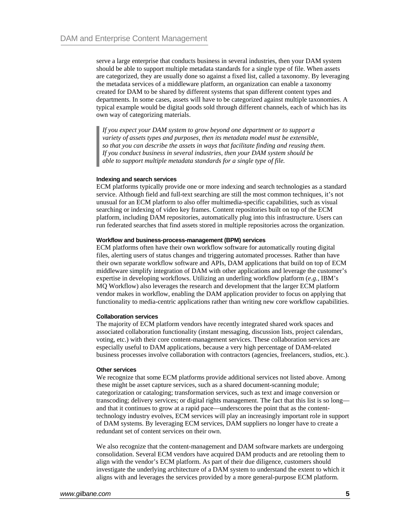serve a large enterprise that conducts business in several industries, then your DAM system should be able to support multiple metadata standards for a single type of file. When assets are categorized, they are usually done so against a fixed list, called a taxonomy. By leveraging the metadata services of a middleware platform, an organization can enable a taxonomy created for DAM to be shared by different systems that span different content types and departments. In some cases, assets will have to be categorized against multiple taxonomies. A typical example would be digital goods sold through different channels, each of which has its own way of categorizing materials.

*If you expect your DAM system to grow beyond one department or to support a variety of assets types and purposes, then its metadata model must be extensible, so that you can describe the assets in ways that facilitate finding and reusing them. If you conduct business in several industries, then your DAM system should be able to support multiple metadata standards for a single type of file.* 

### **Indexing and search services**

ECM platforms typically provide one or more indexing and search technologies as a standard service. Although field and full-text searching are still the most common techniques, it's not unusual for an ECM platform to also offer multimedia-specific capabilities, such as visual searching or indexing of video key frames. Content repositories built on top of the ECM platform, including DAM repositories, automatically plug into this infrastructure. Users can run federated searches that find assets stored in multiple repositories across the organization.

#### **Workflow and business-process-management (BPM) services**

ECM platforms often have their own workflow software for automatically routing digital files, alerting users of status changes and triggering automated processes. Rather than have their own separate workflow software and APIs, DAM applications that build on top of ECM middleware simplify integration of DAM with other applications and leverage the customer's expertise in developing workflows. Utilizing an underling workflow platform (*e.g.,* IBM's MQ Workflow) also leverages the research and development that the larger ECM platform vendor makes in workflow, enabling the DAM application provider to focus on applying that functionality to media-centric applications rather than writing new core workflow capabilities.

#### **Collaboration services**

The majority of ECM platform vendors have recently integrated shared work spaces and associated collaboration functionality (instant messaging, discussion lists, project calendars, voting, etc.) with their core content-management services. These collaboration services are especially useful to DAM applications, because a very high percentage of DAM-related business processes involve collaboration with contractors (agencies, freelancers, studios, etc.).

#### **Other services**

We recognize that some ECM platforms provide additional services not listed above. Among these might be asset capture services, such as a shared document-scanning module; categorization or cataloging; transformation services, such as text and image conversion or transcoding; delivery services; or digital rights management. The fact that this list is so long and that it continues to grow at a rapid pace—underscores the point that as the contenttechnology industry evolves, ECM services will play an increasingly important role in support of DAM systems. By leveraging ECM services, DAM suppliers no longer have to create a redundant set of content services on their own.

We also recognize that the content-management and DAM software markets are undergoing consolidation. Several ECM vendors have acquired DAM products and are retooling them to align with the vendor's ECM platform. As part of their due diligence, customers should investigate the underlying architecture of a DAM system to understand the extent to which it aligns with and leverages the services provided by a more general-purpose ECM platform.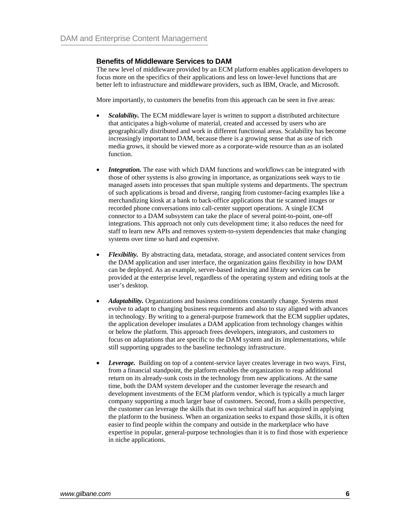### **Benefits of Middleware Services to DAM**

The new level of middleware provided by an ECM platform enables application developers to focus more on the specifics of their applications and less on lower-level functions that are better left to infrastructure and middleware providers, such as IBM, Oracle, and Microsoft.

More importantly, to customers the benefits from this approach can be seen in five areas:

- *Scalability.* The ECM middleware layer is written to support a distributed architecture that anticipates a high-volume of material, created and accessed by users who are geographically distributed and work in different functional areas. Scalability has become increasingly important to DAM, because there is a growing sense that as use of rich media grows, it should be viewed more as a corporate-wide resource than as an isolated function.
- **Integration.** The ease with which DAM functions and workflows can be integrated with those of other systems is also growing in importance, as organizations seek ways to tie managed assets into processes that span multiple systems and departments. The spectrum of such applications is broad and diverse, ranging from customer-facing examples like a merchandizing kiosk at a bank to back-office applications that tie scanned images or recorded phone conversations into call-center support operations. A single ECM connector to a DAM subsystem can take the place of several point-to-point, one-off integrations. This approach not only cuts development time; it also reduces the need for staff to learn new APIs and removes system-to-system dependencies that make changing systems over time so hard and expensive.
- *Flexibility.* By abstracting data, metadata, storage, and associated content services from the DAM application and user interface, the organization gains flexibility in how DAM can be deployed. As an example, server-based indexing and library services can be provided at the enterprise level, regardless of the operating system and editing tools at the user's desktop.
- *Adaptability*. Organizations and business conditions constantly change. Systems must evolve to adapt to changing business requirements and also to stay aligned with advances in technology. By writing to a general-purpose framework that the ECM supplier updates, the application developer insulates a DAM application from technology changes within or below the platform. This approach frees developers, integrators, and customers to focus on adaptations that are specific to the DAM system and its implementations, while still supporting upgrades to the baseline technology infrastructure.
- *Leverage.* Building on top of a content-service layer creates leverage in two ways. First, from a financial standpoint, the platform enables the organization to reap additional return on its already-sunk costs in the technology from new applications. At the same time, both the DAM system developer and the customer leverage the research and development investments of the ECM platform vendor, which is typically a much larger company supporting a much larger base of customers. Second, from a skills perspective, the customer can leverage the skills that its own technical staff has acquired in applying the platform to the business. When an organization seeks to expand those skills, it is often easier to find people within the company and outside in the marketplace who have expertise in popular, general-purpose technologies than it is to find those with experience in niche applications.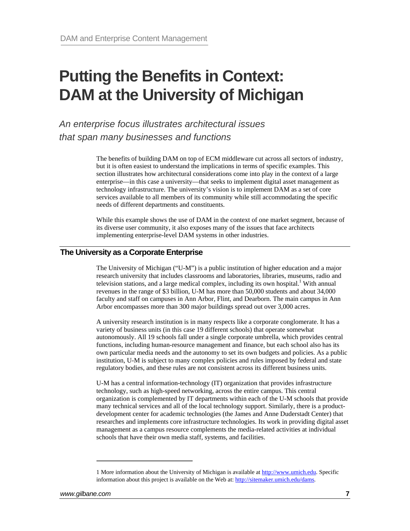## **Putting the Benefits in Context: DAM at the University of Michigan**

*An enterprise focus illustrates architectural issues that span many businesses and functions* 

> The benefits of building DAM on top of ECM middleware cut across all sectors of industry, but it is often easiest to understand the implications in terms of specific examples. This section illustrates how architectural considerations come into play in the context of a large enterprise—in this case a university—that seeks to implement digital asset management as technology infrastructure. The university's vision is to implement DAM as a set of core services available to all members of its community while still accommodating the specific needs of different departments and constituents.

> While this example shows the use of DAM in the context of one market segment, because of its diverse user community, it also exposes many of the issues that face architects implementing enterprise-level DAM systems in other industries.

## **The University as a Corporate Enterprise**

The University of Michigan ("U-M") is a public institution of higher education and a major research university that includes classrooms and laboratories, libraries, museums, radio and television stations, and a large medical complex, including its own hospital.<sup>1</sup> With annual revenues in the range of \$3 billion, U-M has more than 50,000 students and about 34,000 faculty and staff on campuses in Ann Arbor, Flint, and Dearborn. The main campus in Ann Arbor encompasses more than 300 major buildings spread out over 3,000 acres.

A university research institution is in many respects like a corporate conglomerate. It has a variety of business units (in this case 19 different schools) that operate somewhat autonomously. All 19 schools fall under a single corporate umbrella, which provides central functions, including human-resource management and finance, but each school also has its own particular media needs and the autonomy to set its own budgets and policies. As a public institution, U-M is subject to many complex policies and rules imposed by federal and state regulatory bodies, and these rules are not consistent across its different business units.

U-M has a central information-technology (IT) organization that provides infrastructure technology, such as high-speed networking, across the entire campus. This central organization is complemented by IT departments within each of the U-M schools that provide many technical services and all of the local technology support. Similarly, there is a productdevelopment center for academic technologies (the James and Anne Duderstadt Center) that researches and implements core infrastructure technologies. Its work in providing digital asset management as a campus resource complements the media-related activities at individual schools that have their own media staff, systems, and facilities.

<span id="page-6-0"></span><sup>1</sup> More information about the University of Michigan is available at [http://www.umich.edu](http://www.umich.edu/). Specific information about this project is available on the Web at: <http://sitemaker.umich.edu/dams>.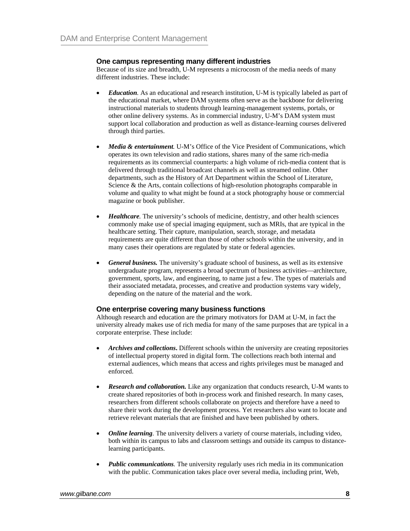## **One campus representing many different industries**

Because of its size and breadth, U-M represents a microcosm of the media needs of many different industries. These include:

- *Education*. As an educational and research institution, U-M is typically labeled as part of the educational market, where DAM systems often serve as the backbone for delivering instructional materials to students through learning-management systems, portals, or other online delivery systems. As in commercial industry, U-M's DAM system must support local collaboration and production as well as distance-learning courses delivered through third parties.
- *Media & entertainment.* U-M's Office of the Vice President of Communications, which operates its own television and radio stations, shares many of the same rich-media requirements as its commercial counterparts: a high volume of rich-media content that is delivered through traditional broadcast channels as well as streamed online. Other departments, such as the History of Art Department within the School of Literature, Science & the Arts, contain collections of high-resolution photographs comparable in volume and quality to what might be found at a stock photography house or commercial magazine or book publisher.
- *Healthcare*. The university's schools of medicine, dentistry, and other health sciences commonly make use of special imaging equipment, such as MRIs, that are typical in the healthcare setting. Their capture, manipulation, search, storage, and metadata requirements are quite different than those of other schools within the university, and in many cases their operations are regulated by state or federal agencies.
- *General business.* The university's graduate school of business, as well as its extensive undergraduate program, represents a broad spectrum of business activities—architecture, government, sports, law, and engineering, to name just a few. The types of materials and their associated metadata, processes, and creative and production systems vary widely, depending on the nature of the material and the work.

## **One enterprise covering many business functions**

Although research and education are the primary motivators for DAM at U-M, in fact the university already makes use of rich media for many of the same purposes that are typical in a corporate enterprise. These include:

- *Archives and collections***.** Different schools within the university are creating repositories of intellectual property stored in digital form. The collections reach both internal and external audiences, which means that access and rights privileges must be managed and enforced.
- *Research and collaboration.* Like any organization that conducts research, U-M wants to create shared repositories of both in-process work and finished research. In many cases, researchers from different schools collaborate on projects and therefore have a need to share their work during the development process. Yet researchers also want to locate and retrieve relevant materials that are finished and have been published by others.
- *Online learning.* The university delivers a variety of course materials, including video, both within its campus to labs and classroom settings and outside its campus to distancelearning participants.
- *Public communications.* The university regularly uses rich media in its communication with the public. Communication takes place over several media, including print, Web,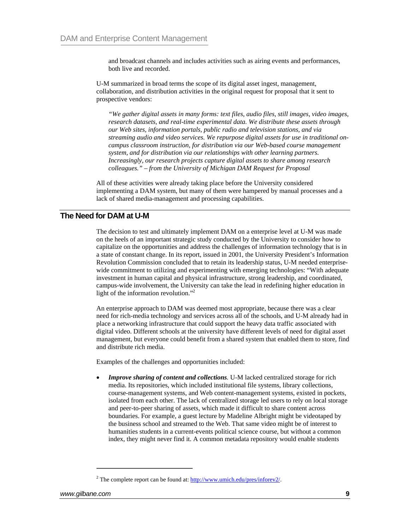and broadcast channels and includes activities such as airing events and performances, both live and recorded.

U-M summarized in broad terms the scope of its digital asset ingest, management, collaboration, and distribution activities in the original request for proposal that it sent to prospective vendors:

*"We gather digital assets in many forms: text files, audio files, still images, video images, research datasets, and real-time experimental data. We distribute these assets through our Web sites, information portals, public radio and television stations, and via streaming audio and video services. We repurpose digital assets for use in traditional oncampus classroom instruction, for distribution via our Web-based course management system, and for distribution via our relationships with other learning partners. Increasingly, our research projects capture digital assets to share among research colleagues." – from the University of Michigan DAM Request for Proposal*

All of these activities were already taking place before the University considered implementing a DAM system, but many of them were hampered by manual processes and a lack of shared media-management and processing capabilities.

## **The Need for DAM at U-M**

The decision to test and ultimately implement DAM on a enterprise level at U-M was made on the heels of an important strategic study conducted by the University to consider how to capitalize on the opportunities and address the challenges of information technology that is in a state of constant change. In its report, issued in 2001, the University President's Information Revolution Commission concluded that to retain its leadership status, U-M needed enterprisewide commitment to utilizing and experimenting with emerging technologies: "With adequate investment in human capital and physical infrastructure, strong leadership, and coordinated, campus-wide involvement, the University can take the lead in redefining higher education in light of the information revolution.["2](#page-8-0)

An enterprise approach to DAM was deemed most appropriate, because there was a clear need for rich-media technology and services across all of the schools, and U-M already had in place a networking infrastructure that could support the heavy data traffic associated with digital video. Different schools at the university have different levels of need for digital asset management, but everyone could benefit from a shared system that enabled them to store, find and distribute rich media.

Examples of the challenges and opportunities included:

• *Improve sharing of content and collections.* U-M lacked centralized storage for rich media. Its repositories, which included institutional file systems, library collections, course-management systems, and Web content-management systems, existed in pockets, isolated from each other. The lack of centralized storage led users to rely on local storage and peer-to-peer sharing of assets, which made it difficult to share content across boundaries. For example, a guest lecture by Madeline Albright might be videotaped by the business school and streamed to the Web. That same video might be of interest to humanities students in a current-events political science course, but without a common index, they might never find it. A common metadata repository would enable students

<span id="page-8-0"></span><sup>&</sup>lt;sup>2</sup> The complete report can be found at:  $\frac{http://www.umich.edu/pres/informov2/">http://www.umich.edu/pres/informov2/$ .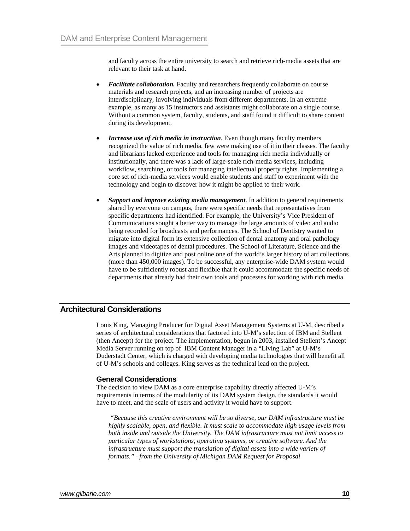and faculty across the entire university to search and retrieve rich-media assets that are relevant to their task at hand.

- *Facilitate collaboration.* Faculty and researchers frequently collaborate on course materials and research projects, and an increasing number of projects are interdisciplinary, involving individuals from different departments. In an extreme example, as many as 15 instructors and assistants might collaborate on a single course. Without a common system, faculty, students, and staff found it difficult to share content during its development.
- *Increase use of rich media in instruction.* Even though many faculty members recognized the value of rich media, few were making use of it in their classes. The faculty and librarians lacked experience and tools for managing rich media individually or institutionally, and there was a lack of large-scale rich-media services, including workflow, searching, or tools for managing intellectual property rights. Implementing a core set of rich-media services would enable students and staff to experiment with the technology and begin to discover how it might be applied to their work.
- *Support and improve existing media management.* In addition to general requirements shared by everyone on campus, there were specific needs that representatives from specific departments had identified. For example, the University's Vice President of Communications sought a better way to manage the large amounts of video and audio being recorded for broadcasts and performances. The School of Dentistry wanted to migrate into digital form its extensive collection of dental anatomy and oral pathology images and videotapes of dental procedures. The School of Literature, Science and the Arts planned to digitize and post online one of the world's larger history of art collections (more than 450,000 images). To be successful, any enterprise-wide DAM system would have to be sufficiently robust and flexible that it could accommodate the specific needs of departments that already had their own tools and processes for working with rich media.

## **Architectural Considerations**

Louis King, Managing Producer for Digital Asset Management Systems at U-M, described a series of architectural considerations that factored into U-M's selection of IBM and Stellent (then Ancept) for the project. The implementation, begun in 2003, installed Stellent's Ancept Media Server running on top of IBM Content Manager in a "Living Lab" at U-M's Duderstadt Center, which is charged with developing media technologies that will benefit all of U-M's schools and colleges. King serves as the technical lead on the project.

## **General Considerations**

The decision to view DAM as a core enterprise capability directly affected U-M's requirements in terms of the modularity of its DAM system design, the standards it would have to meet, and the scale of users and activity it would have to support.

 *"Because this creative environment will be so diverse, our DAM infrastructure must be highly scalable, open, and flexible. It must scale to accommodate high usage levels from both inside and outside the University. The DAM infrastructure must not limit access to particular types of workstations, operating systems, or creative software. And the infrastructure must support the translation of digital assets into a wide variety of formats." –from the University of Michigan DAM Request for Proposal*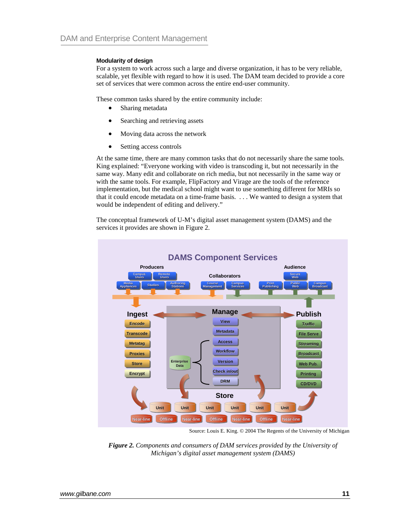### **Modularity of design**

For a system to work across such a large and diverse organization, it has to be very reliable, scalable, yet flexible with regard to how it is used. The DAM team decided to provide a core set of services that were common across the entire end-user community.

These common tasks shared by the entire community include:

- Sharing metadata
- Searching and retrieving assets
- Moving data across the network
- Setting access controls

At the same time, there are many common tasks that do not necessarily share the same tools. King explained: "Everyone working with video is transcoding it, but not necessarily in the same way. Many edit and collaborate on rich media, but not necessarily in the same way or with the same tools. For example, FlipFactory and Virage are the tools of the reference implementation, but the medical school might want to use something different for MRIs so that it could encode metadata on a time-frame basis. . . . We wanted to design a system that would be independent of editing and delivery."

The conceptual framework of U-M's digital asset management system (DAMS) and the services it provides are shown in Figure 2.



Source: Louis E. King. © 2004 The Regents of the University of Michigan

*Figure 2. Components and consumers of DAM services provided by the University of Michigan's digital asset management system (DAMS)*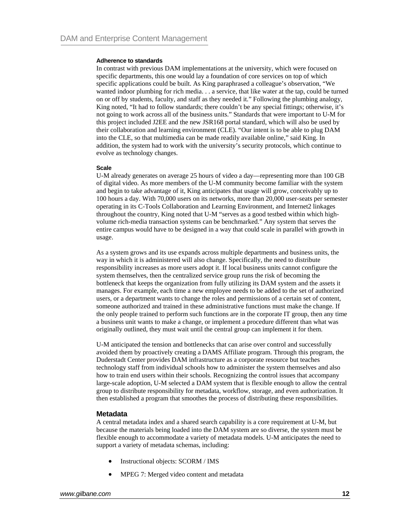#### **Adherence to standards**

In contrast with previous DAM implementations at the university, which were focused on specific departments, this one would lay a foundation of core services on top of which specific applications could be built. As King paraphrased a colleague's observation, "We wanted indoor plumbing for rich media. . . a service, that like water at the tap, could be turned on or off by students, faculty, and staff as they needed it." Following the plumbing analogy, King noted, "It had to follow standards; there couldn't be any special fittings; otherwise, it's not going to work across all of the business units." Standards that were important to U-M for this project included J2EE and the new JSR168 portal standard, which will also be used by their collaboration and learning environment (CLE). "Our intent is to be able to plug DAM into the CLE, so that multimedia can be made readily available online," said King. In addition, the system had to work with the university's security protocols, which continue to evolve as technology changes.

#### **Scale**

U-M already generates on average 25 hours of video a day—representing more than 100 GB of digital video. As more members of the U-M community become familiar with the system and begin to take advantage of it, King anticipates that usage will grow, conceivably up to 100 hours a day. With 70,000 users on its networks, more than 20,000 user-seats per semester operating in its C-Tools Collaboration and Learning Environment, and Internet2 linkages throughout the country, King noted that U-M "serves as a good testbed within which highvolume rich-media transaction systems can be benchmarked." Any system that serves the entire campus would have to be designed in a way that could scale in parallel with growth in usage.

As a system grows and its use expands across multiple departments and business units, the way in which it is administered will also change. Specifically, the need to distribute responsibility increases as more users adopt it. If local business units cannot configure the system themselves, then the centralized service group runs the risk of becoming the bottleneck that keeps the organization from fully utilizing its DAM system and the assets it manages. For example, each time a new employee needs to be added to the set of authorized users, or a department wants to change the roles and permissions of a certain set of content, someone authorized and trained in these administrative functions must make the change. If the only people trained to perform such functions are in the corporate IT group, then any time a business unit wants to make a change, or implement a procedure different than what was originally outlined, they must wait until the central group can implement it for them.

U-M anticipated the tension and bottlenecks that can arise over control and successfully avoided them by proactively creating a DAMS Affiliate program. Through this program, the Duderstadt Center provides DAM infrastructure as a corporate resource but teaches technology staff from individual schools how to administer the system themselves and also how to train end users within their schools. Recognizing the control issues that accompany large-scale adoption, U-M selected a DAM system that is flexible enough to allow the central group to distribute responsibility for metadata, workflow, storage, and even authorization. It then established a program that smoothes the process of distributing these responsibilities.

### **Metadata**

A central metadata index and a shared search capability is a core requirement at U-M, but because the materials being loaded into the DAM system are so diverse, the system must be flexible enough to accommodate a variety of metadata models. U-M anticipates the need to support a variety of metadata schemas, including:

- Instructional objects: SCORM / IMS
- MPEG 7: Merged video content and metadata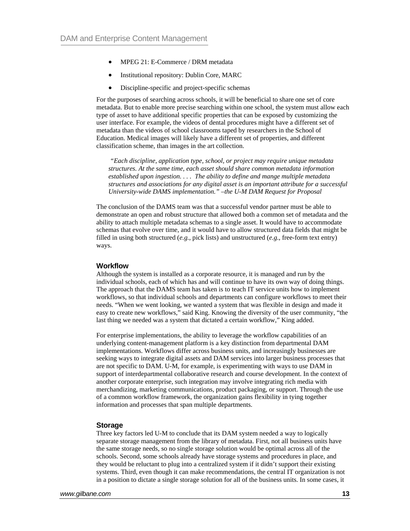- MPEG 21: E-Commerce / DRM metadata
- Institutional repository: Dublin Core, MARC
- Discipline-specific and project-specific schemas

For the purposes of searching across schools, it will be beneficial to share one set of core metadata. But to enable more precise searching within one school, the system must allow each type of asset to have additional specific properties that can be exposed by customizing the user interface. For example, the videos of dental procedures might have a different set of metadata than the videos of school classrooms taped by researchers in the School of Education. Medical images will likely have a different set of properties, and different classification scheme, than images in the art collection.

 *"Each discipline, application type, school, or project may require unique metadata structures. At the same time, each asset should share common metadata information established upon ingestion. . . . The ability to define and mange multiple metadata structures and associations for any digital asset is an important attribute for a successful University-wide DAMS implementation." –the U-M DAM Request for Proposal* 

The conclusion of the DAMS team was that a successful vendor partner must be able to demonstrate an open and robust structure that allowed both a common set of metadata and the ability to attach multiple metadata schemas to a single asset. It would have to accommodate schemas that evolve over time, and it would have to allow structured data fields that might be filled in using both structured (*e.g.*, pick lists) and unstructured (*e.g.*, free-form text entry) ways.

### **Workflow**

Although the system is installed as a corporate resource, it is managed and run by the individual schools, each of which has and will continue to have its own way of doing things. The approach that the DAMS team has taken is to teach IT service units how to implement workflows, so that individual schools and departments can configure workflows to meet their needs. "When we went looking, we wanted a system that was flexible in design and made it easy to create new workflows," said King. Knowing the diversity of the user community, "the last thing we needed was a system that dictated a certain workflow," King added.

For enterprise implementations, the ability to leverage the workflow capabilities of an underlying content-management platform is a key distinction from departmental DAM implementations. Workflows differ across business units, and increasingly businesses are seeking ways to integrate digital assets and DAM services into larger business processes that are not specific to DAM. U-M, for example, is experimenting with ways to use DAM in support of interdepartmental collaborative research and course development. In the context of another corporate enterprise, such integration may involve integrating rich media with merchandizing, marketing communications, product packaging, or support. Through the use of a common workflow framework, the organization gains flexibility in tying together information and processes that span multiple departments.

#### **Storage**

Three key factors led U-M to conclude that its DAM system needed a way to logically separate storage management from the library of metadata. First, not all business units have the same storage needs, so no single storage solution would be optimal across all of the schools. Second, some schools already have storage systems and procedures in place, and they would be reluctant to plug into a centralized system if it didn't support their existing systems. Third, even though it can make recommendations, the central IT organization is not in a position to dictate a single storage solution for all of the business units. In some cases, it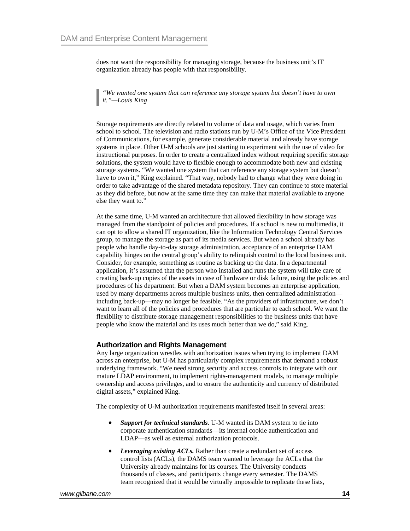does not want the responsibility for managing storage, because the business unit's IT organization already has people with that responsibility.

*"We wanted one system that can reference any storage system but doesn't have to own it."—Louis King* 

Storage requirements are directly related to volume of data and usage, which varies from school to school. The television and radio stations run by U-M's Office of the Vice President of Communications, for example, generate considerable material and already have storage systems in place. Other U-M schools are just starting to experiment with the use of video for instructional purposes. In order to create a centralized index without requiring specific storage solutions, the system would have to flexible enough to accommodate both new and existing storage systems. "We wanted one system that can reference any storage system but doesn't have to own it," King explained. "That way, nobody had to change what they were doing in order to take advantage of the shared metadata repository. They can continue to store material as they did before, but now at the same time they can make that material available to anyone else they want to."

At the same time, U-M wanted an architecture that allowed flexibility in how storage was managed from the standpoint of policies and procedures. If a school is new to multimedia, it can opt to allow a shared IT organization, like the Information Technology Central Services group, to manage the storage as part of its media services. But when a school already has people who handle day-to-day storage administration, acceptance of an enterprise DAM capability hinges on the central group's ability to relinquish control to the local business unit. Consider, for example, something as routine as backing up the data. In a departmental application, it's assumed that the person who installed and runs the system will take care of creating back-up copies of the assets in case of hardware or disk failure, using the policies and procedures of his department. But when a DAM system becomes an enterprise application, used by many departments across multiple business units, then centralized administration including back-up—may no longer be feasible. "As the providers of infrastructure, we don't want to learn all of the policies and procedures that are particular to each school. We want the flexibility to distribute storage management responsibilities to the business units that have people who know the material and its uses much better than we do," said King.

## **Authorization and Rights Management**

Any large organization wrestles with authorization issues when trying to implement DAM across an enterprise, but U-M has particularly complex requirements that demand a robust underlying framework. "We need strong security and access controls to integrate with our mature LDAP environment, to implement rights-management models, to manage multiple ownership and access privileges, and to ensure the authenticity and currency of distributed digital assets," explained King.

The complexity of U-M authorization requirements manifested itself in several areas:

- *Support for technical standards.* U-M wanted its DAM system to tie into corporate authentication standards—its internal cookie authentication and LDAP—as well as external authorization protocols.
- **Leveraging existing ACLs.** Rather than create a redundant set of access control lists (ACLs), the DAMS team wanted to leverage the ACLs that the University already maintains for its courses. The University conducts thousands of classes, and participants change every semester. The DAMS team recognized that it would be virtually impossible to replicate these lists,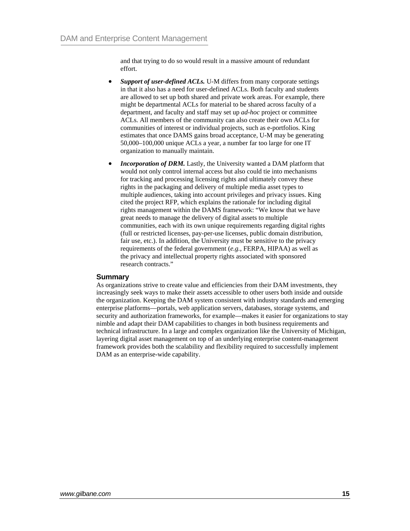and that trying to do so would result in a massive amount of redundant effort.

- *Support of user-defined ACLs.* U-M differs from many corporate settings in that it also has a need for user-defined ACLs. Both faculty and students are allowed to set up both shared and private work areas. For example, there might be departmental ACLs for material to be shared across faculty of a department, and faculty and staff may set up *ad-hoc* project or committee ACLs. All members of the community can also create their own ACLs for communities of interest or individual projects, such as e-portfolios. King estimates that once DAMS gains broad acceptance, U-M may be generating 50,000–100,000 unique ACLs a year, a number far too large for one IT organization to manually maintain.
- *Incorporation of DRM.* Lastly, the University wanted a DAM platform that would not only control internal access but also could tie into mechanisms for tracking and processing licensing rights and ultimately convey these rights in the packaging and delivery of multiple media asset types to multiple audiences, taking into account privileges and privacy issues. King cited the project RFP, which explains the rationale for including digital rights management within the DAMS framework: "We know that we have great needs to manage the delivery of digital assets to multiple communities, each with its own unique requirements regarding digital rights (full or restricted licenses, pay-per-use licenses, public domain distribution, fair use, etc.). In addition, the University must be sensitive to the privacy requirements of the federal government (*e.g.*, FERPA, HIPAA) as well as the privacy and intellectual property rights associated with sponsored research contracts."

### **Summary**

As organizations strive to create value and efficiencies from their DAM investments, they increasingly seek ways to make their assets accessible to other users both inside and outside the organization. Keeping the DAM system consistent with industry standards and emerging enterprise platforms—portals, web application servers, databases, storage systems, and security and authorization frameworks, for example—makes it easier for organizations to stay nimble and adapt their DAM capabilities to changes in both business requirements and technical infrastructure. In a large and complex organization like the University of Michigan, layering digital asset management on top of an underlying enterprise content-management framework provides both the scalability and flexibility required to successfully implement DAM as an enterprise-wide capability.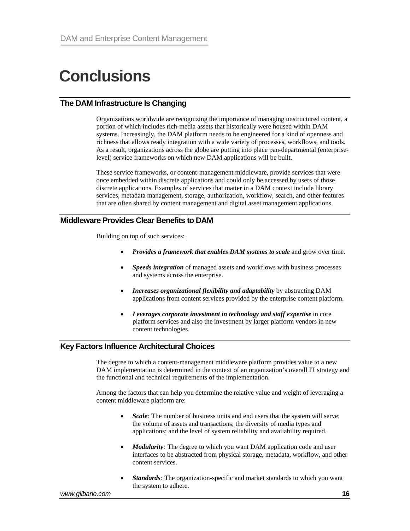## **Conclusions**

## **The DAM Infrastructure Is Changing**

Organizations worldwide are recognizing the importance of managing unstructured content, a portion of which includes rich-media assets that historically were housed within DAM systems. Increasingly, the DAM platform needs to be engineered for a kind of openness and richness that allows ready integration with a wide variety of processes, workflows, and tools. As a result, organizations across the globe are putting into place pan-departmental (enterpriselevel) service frameworks on which new DAM applications will be built.

These service frameworks, or content-management middleware, provide services that were once embedded within discrete applications and could only be accessed by users of those discrete applications. Examples of services that matter in a DAM context include library services, metadata management, storage, authorization, workflow, search, and other features that are often shared by content management and digital asset management applications.

## **Middleware Provides Clear Benefits to DAM**

Building on top of such services:

- *Provides a framework that enables DAM systems to scale* and grow over time.
- *Speeds integration* of managed assets and workflows with business processes and systems across the enterprise.
- *Increases organizational flexibility and adaptability* by abstracting DAM applications from content services provided by the enterprise content platform.
- *Leverages corporate investment in technology and staff expertise* in core platform services and also the investment by larger platform vendors in new content technologies.

## **Key Factors Influence Architectural Choices**

The degree to which a content-management middleware platform provides value to a new DAM implementation is determined in the context of an organization's overall IT strategy and the functional and technical requirements of the implementation.

Among the factors that can help you determine the relative value and weight of leveraging a content middleware platform are:

- *Scale:* The number of business units and end users that the system will serve; the volume of assets and transactions; the diversity of media types and applications; and the level of system reliability and availability required.
- *Modularity*: The degree to which you want DAM application code and user interfaces to be abstracted from physical storage, metadata, workflow, and other content services.
- *Standards:* The organization-specific and market standards to which you want the system to adhere.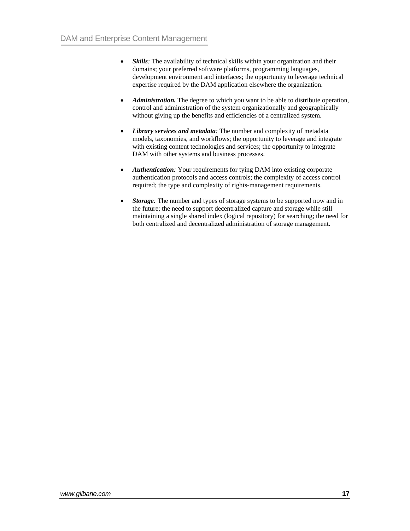- *Skills*: The availability of technical skills within your organization and their domains; your preferred software platforms, programming languages, development environment and interfaces; the opportunity to leverage technical expertise required by the DAM application elsewhere the organization.
- *Administration.* The degree to which you want to be able to distribute operation, control and administration of the system organizationally and geographically without giving up the benefits and efficiencies of a centralized system.
- *Library services and metadata:* The number and complexity of metadata models, taxonomies, and workflows; the opportunity to leverage and integrate with existing content technologies and services; the opportunity to integrate DAM with other systems and business processes.
- *Authentication:* Your requirements for tying DAM into existing corporate authentication protocols and access controls; the complexity of access control required; the type and complexity of rights-management requirements.
- *Storage:* The number and types of storage systems to be supported now and in the future; the need to support decentralized capture and storage while still maintaining a single shared index (logical repository) for searching; the need for both centralized and decentralized administration of storage management.